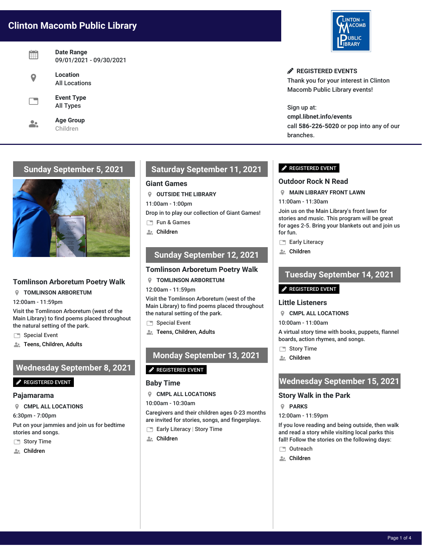# **Clinton Macomb Public Library**

| Date Range<br>09/01/2021 - 09/30/2021 |
|---------------------------------------|
| Location<br><b>All Locations</b>      |
| <b>Event Type</b><br><b>All Types</b> |
| <b>Age Group</b><br>Children          |



**REGISTERED EVENTS** Thank you for your interest in Clinton Macomb Public Library events!

Sign up at: **cmpl.libnet.info/events** call **586-226-5020** or pop into any of our branches.

# **Sunday September 5, 2021**



## **Tomlinson Arboretum Poetry Walk**

**TOMLINSON ARBORETUM**

12:00am - 11:59pm

Visit the Tomlinson Arboretum (west of the Main Library) to find poems placed throughout the natural setting of the park.

- Special Event
- Teens, Children, Adults

## **Wednesday September 8, 2021**

## **P**REGISTERED EVENT

### **Pajamarama**

**CMPL ALL LOCATIONS**

6:30pm - 7:00pm

Put on your jammies and join us for bedtime stories and songs.

- Story Time
- **A.** Children

# **Saturday September 11, 2021**

## **Giant Games**

**OUTSIDE THE LIBRARY**

11:00am - 1:00pm

Drop in to play our collection of Giant Games!

Fun & Games

**A** Children

## **Sunday September 12, 2021**

## **Tomlinson Arboretum Poetry Walk**

**TOMLINSON ARBORETUM**

12:00am - 11:59pm

Visit the Tomlinson Arboretum (west of the Main Library) to find poems placed throughout the natural setting of the park.

- Special Event
- **Allection**, Children, Adults

# **Monday September 13, 2021**

### **P** REGISTERED EVENT

### **Baby Time**

**CMPL ALL LOCATIONS**

10:00am - 10:30am

Caregivers and their children ages 0-23 months are invited for stories, songs, and fingerplays.

- Early Literacy | Story Time
- **A:** Children

## **P** REGISTERED EVENT

## **Outdoor Rock N Read**

- **MAIN LIBRARY FRONT LAWN**
- 11:00am 11:30am

Join us on the Main Library's front lawn for stories and music. This program will be great for ages 2-5. Bring your blankets out and join us for fun.

- Early Literacy
- **A:** Children

# **Tuesday September 14, 2021**

### $\mathscr S$  REGISTERED EVENT

### **Little Listeners**

- **CMPL ALL LOCATIONS**
- 10:00am 11:00am

A virtual story time with books, puppets, flannel boards, action rhymes, and songs.

- Story Time
- Children

# **Wednesday September 15, 2021**

## **Story Walk in the Park**

- **PARKS**
- 12:00am 11:59pm

If you love reading and being outside, then walk and read a story while visiting local parks this fall! Follow the stories on the following days:

- □ Outreach
- **A:** Children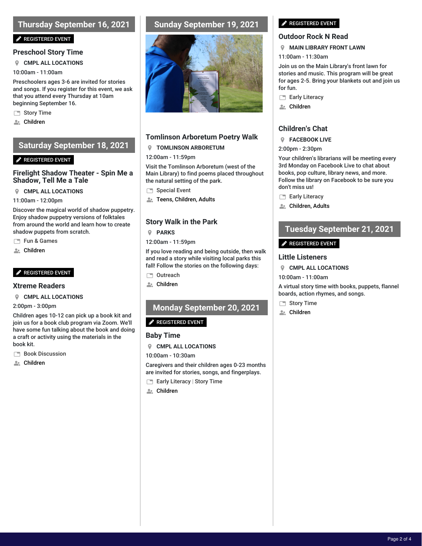# **Thursday September 16, 2021**

#### **P** REGISTERED EVENT

## **Preschool Story Time**

**CMPL ALL LOCATIONS**

10:00am - 11:00am

Preschoolers ages 3-6 are invited for stories and songs. If you register for this event, we ask that you attend every Thursday at 10am beginning September 16.

Story Time

**A:** Children

## **Saturday September 18, 2021**

### **P** REGISTERED EVENT

## **Firelight Shadow Theater - Spin Me a Shadow, Tell Me a Tale**

**CMPL ALL LOCATIONS**

11:00am - 12:00pm

Discover the magical world of shadow puppetry. Enjoy shadow puppetry versions of folktales from around the world and learn how to create shadow puppets from scratch.

Fun & Games

**A.** Children

## $\mathscr{P}$  REGISTERED EVENT

### **Xtreme Readers**

#### **CMPL ALL LOCATIONS**

2:00pm - 3:00pm

Children ages 10-12 can pick up a book kit and join us for a book club program via Zoom. We'll have some fun talking about the book and doing a craft or activity using the materials in the book kit.

**Book Discussion** 

**A**: Children

## **Sunday September 19, 2021**



## **Tomlinson Arboretum Poetry Walk**

## **TOMLINSON ARBORETUM**

#### 12:00am - 11:59pm

Visit the Tomlinson Arboretum (west of the Main Library) to find poems placed throughout the natural setting of the park.

Special Event

**2.** Teens, Children, Adults

## **Story Walk in the Park**

**PARKS**

12:00am - 11:59pm

If you love reading and being outside, then walk and read a story while visiting local parks this fall! Follow the stories on the following days:

- □ Outreach
- **A** Children

# **Monday September 20, 2021**

## **P** REGISTERED EVENT

## **Baby Time**

**CMPL ALL LOCATIONS**

10:00am - 10:30am

Caregivers and their children ages 0-23 months are invited for stories, songs, and fingerplays.

- **Early Literacy | Story Time**
- **A:** Children

### **REGISTERED EVENT**

## **Outdoor Rock N Read**

#### **MAIN LIBRARY FRONT LAWN**

11:00am - 11:30am

Join us on the Main Library's front lawn for stories and music. This program will be great for ages 2-5. Bring your blankets out and join us for fun.

- Early Literacy
- **A:** Children

## **Children's Chat**

### **FACEBOOK LIVE**

2:00pm - 2:30pm

Your children's librarians will be meeting every 3rd Monday on Facebook Live to chat about books, pop culture, library news, and more. Follow the library on Facebook to be sure you don't miss us!

- Early Literacy
- **Children, Adults**

# **Tuesday September 21, 2021**

## REGISTERED EVENT

## **Little Listeners**

- **CMPL ALL LOCATIONS**
- 10:00am 11:00am

A virtual story time with books, puppets, flannel boards, action rhymes, and songs.

- Story Time
- **Let** Children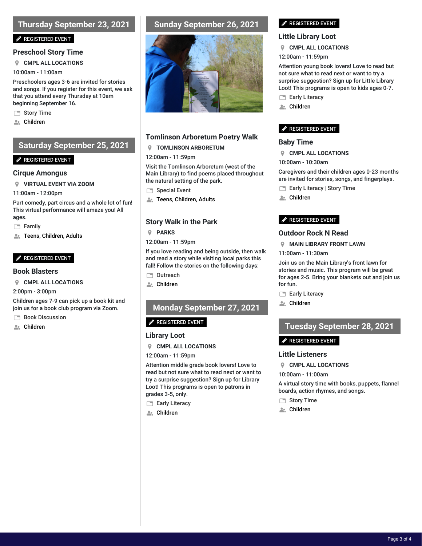# **Thursday September 23, 2021**

## **P** REGISTERED EVENT

## **Preschool Story Time**

**CMPL ALL LOCATIONS**

10:00am - 11:00am

Preschoolers ages 3-6 are invited for stories and songs. If you register for this event, we ask that you attend every Thursday at 10am beginning September 16.

Story Time

**A:** Children

## **Saturday September 25, 2021**

## **P** REGISTERED EVENT

## **Cirque Amongus**

**VIRTUAL EVENT VIA ZOOM**

11:00am - 12:00pm

Part comedy, part circus and a whole lot of fun! This virtual performance will amaze you! All ages.

Family

Teens, Children, Adults

## **P** REGISTERED EVENT

- **Book Blasters**
- **CMPL ALL LOCATIONS**

2:00pm - 3:00pm

Children ages 7-9 can pick up a book kit and join us for a book club program via Zoom.

**Book Discussion** 

**Also** Children

## **Sunday September 26, 2021**



## **Tomlinson Arboretum Poetry Walk**

## **TOMLINSON ARBORETUM**

### 12:00am - 11:59pm

Visit the Tomlinson Arboretum (west of the Main Library) to find poems placed throughout the natural setting of the park.

- Special Event
- **A: Teens, Children, Adults**

## **Story Walk in the Park**

**PARKS**

12:00am - 11:59pm

If you love reading and being outside, then walk and read a story while visiting local parks this fall! Follow the stories on the following days:

- □ Outreach
- **A** Children

# **Monday September 27, 2021**

## $\mathscr{P}$  REGISTERED EVENT

## **Library Loot**

**CMPL ALL LOCATIONS**

12:00am - 11:59pm

Attention middle grade book lovers! Love to read but not sure what to read next or want to try a surprise suggestion? Sign up for Library Loot! This programs is open to patrons in grades 3-5, only.

- Early Literacy
- **A**: Children

## **P** REGISTERED EVENT

## **Little Library Loot**

- **CMPL ALL LOCATIONS**
- 12:00am 11:59pm

Attention young book lovers! Love to read but not sure what to read next or want to try a surprise suggestion? Sign up for Little Library Loot! This programs is open to kids ages 0-7.

- Early Literacy
- **A:** Children

## REGISTERED EVENT

## **Baby Time**

- **CMPL ALL LOCATIONS**
- 10:00am 10:30am

Caregivers and their children ages 0-23 months are invited for stories, songs, and fingerplays.

- Early Literacy | Story Time
- **A:** Children

### **P** REGISTERED EVENT

## **Outdoor Rock N Read**

- **MAIN LIBRARY FRONT LAWN**
- 11:00am 11:30am

Join us on the Main Library's front lawn for stories and music. This program will be great for ages 2-5. Bring your blankets out and join us for fun.

- Early Literacy
- **A:** Children

# **Tuesday September 28, 2021**

## REGISTERED EVENT

## **Little Listeners**

- **CMPL ALL LOCATIONS**
- 10:00am 11:00am

A virtual story time with books, puppets, flannel boards, action rhymes, and songs.

- Story Time
- **A:** Children